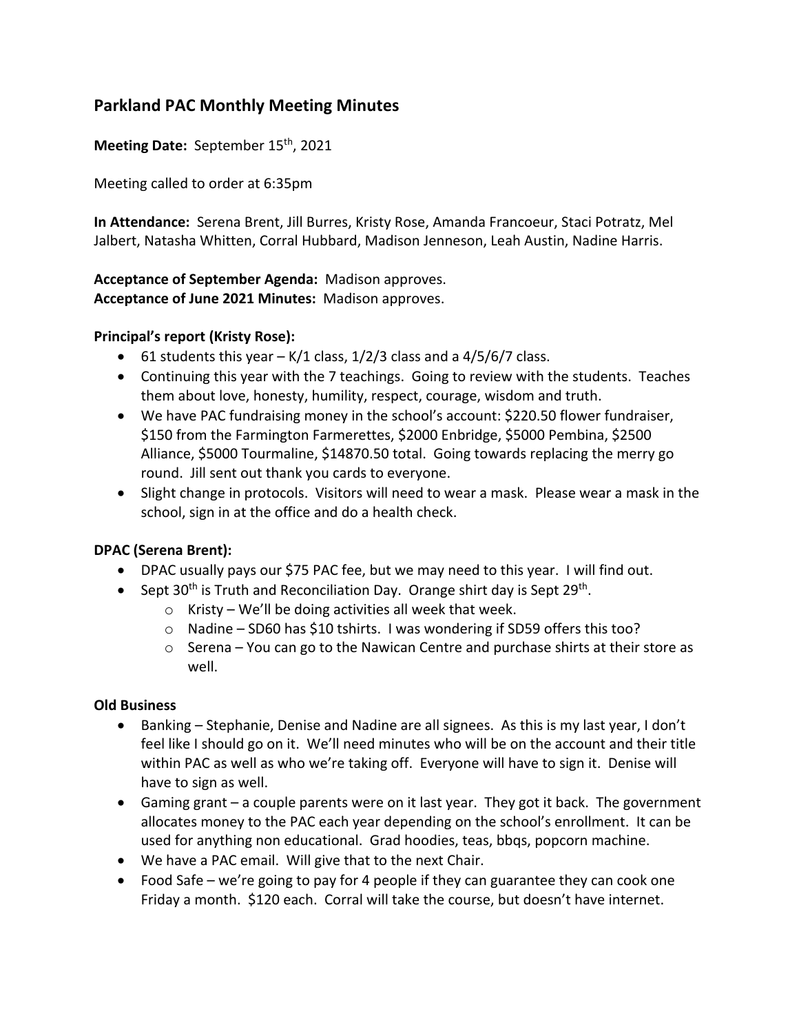# **Parkland PAC Monthly Meeting Minutes**

Meeting Date: September 15<sup>th</sup>, 2021

Meeting called to order at 6:35pm

**In Attendance:** Serena Brent, Jill Burres, Kristy Rose, Amanda Francoeur, Staci Potratz, Mel Jalbert, Natasha Whitten, Corral Hubbard, Madison Jenneson, Leah Austin, Nadine Harris.

**Acceptance of September Agenda:** Madison approves. **Acceptance of June 2021 Minutes:** Madison approves.

## **Principal's report (Kristy Rose):**

- 61 students this year  $K/1$  class, 1/2/3 class and a 4/5/6/7 class.
- Continuing this year with the 7 teachings. Going to review with the students. Teaches them about love, honesty, humility, respect, courage, wisdom and truth.
- We have PAC fundraising money in the school's account: \$220.50 flower fundraiser, \$150 from the Farmington Farmerettes, \$2000 Enbridge, \$5000 Pembina, \$2500 Alliance, \$5000 Tourmaline, \$14870.50 total. Going towards replacing the merry go round. Jill sent out thank you cards to everyone.
- Slight change in protocols. Visitors will need to wear a mask. Please wear a mask in the school, sign in at the office and do a health check.

## **DPAC (Serena Brent):**

- DPAC usually pays our \$75 PAC fee, but we may need to this year. I will find out.
- Sept 30<sup>th</sup> is Truth and Reconciliation Day. Orange shirt day is Sept 29<sup>th</sup>.
	- $\circ$  Kristy We'll be doing activities all week that week.
	- o Nadine SD60 has \$10 tshirts. I was wondering if SD59 offers this too?
	- $\circ$  Serena You can go to the Nawican Centre and purchase shirts at their store as well.

#### **Old Business**

- Banking Stephanie, Denise and Nadine are all signees. As this is my last year, I don't feel like I should go on it. We'll need minutes who will be on the account and their title within PAC as well as who we're taking off. Everyone will have to sign it. Denise will have to sign as well.
- Gaming grant a couple parents were on it last year. They got it back. The government allocates money to the PAC each year depending on the school's enrollment. It can be used for anything non educational. Grad hoodies, teas, bbqs, popcorn machine.
- We have a PAC email. Will give that to the next Chair.
- Food Safe we're going to pay for 4 people if they can guarantee they can cook one Friday a month. \$120 each. Corral will take the course, but doesn't have internet.